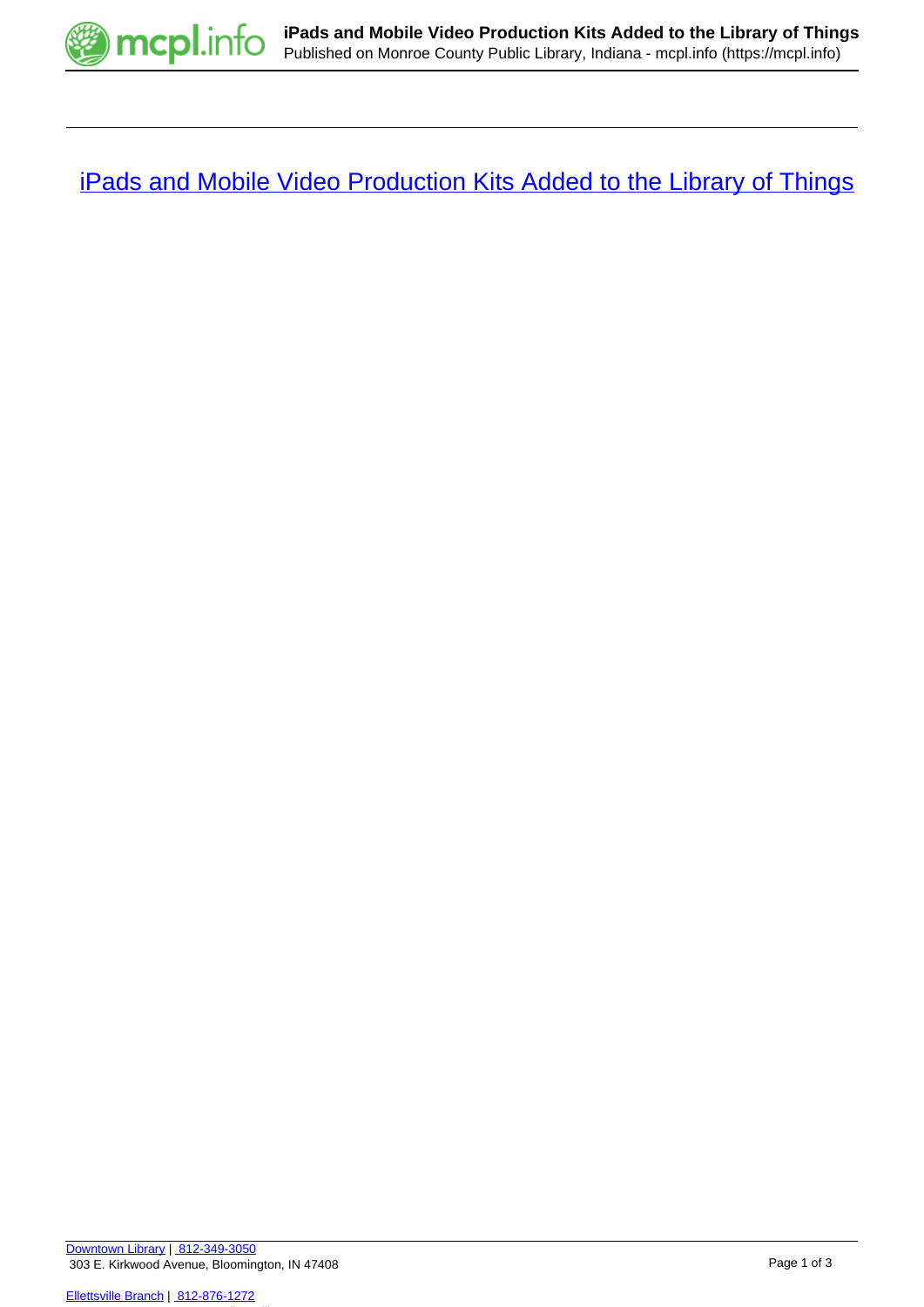

**[iPads and Mobile Video Production Kits Added to the Library of Things](https://mcpl.info/blogs/think-library/ipads-and-mobile-video-production-kits-added-library-things)**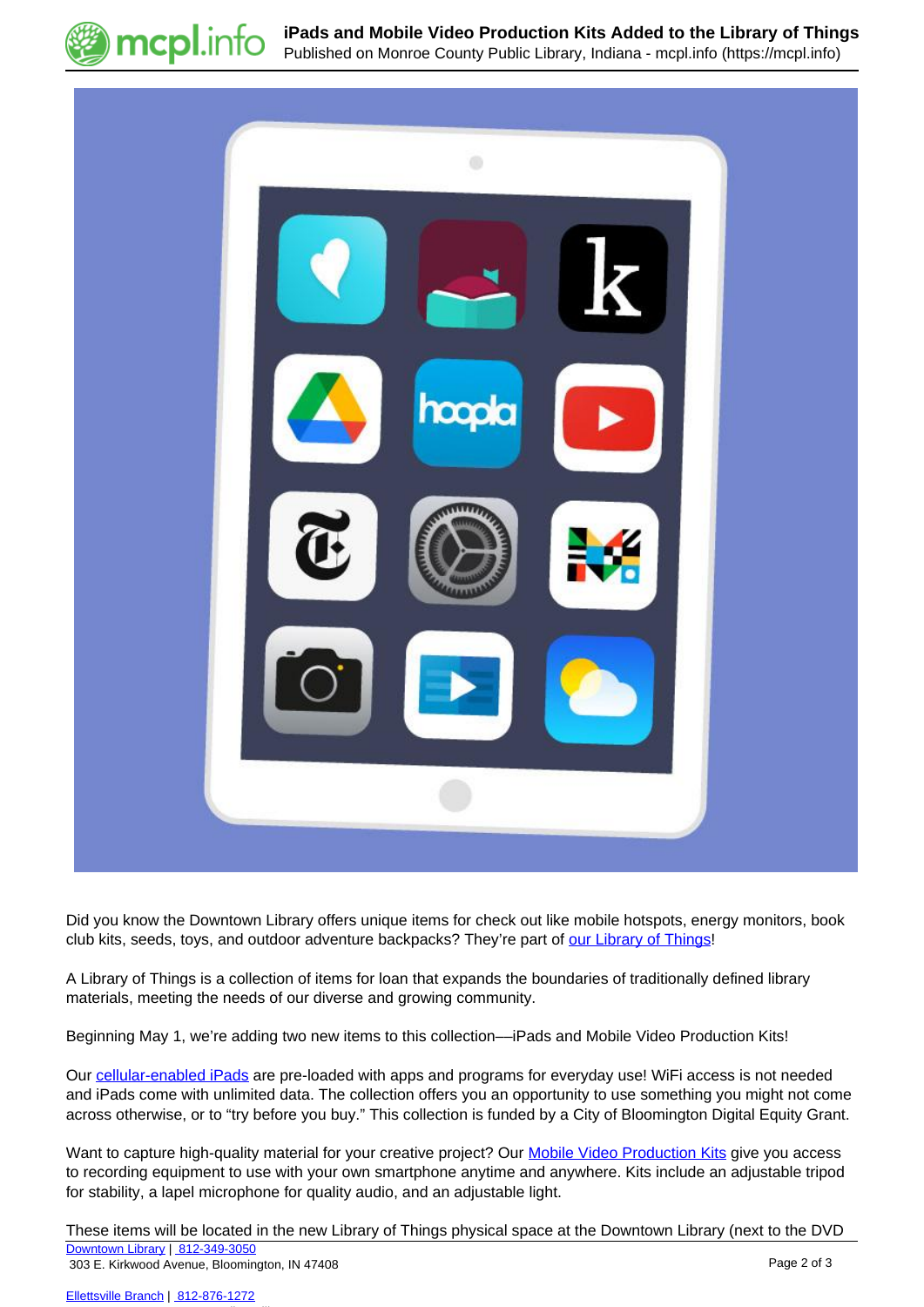

**iPads and Mobile Video Production Kits Added to the Library of Things** Published on Monroe County Public Library, Indiana - mcpl.info (https://mcpl.info)



Did you know the Downtown Library offers unique items for check out like mobile hotspots, energy monitors, book club kits, seeds, toys, and outdoor adventure backpacks? They're part of [our Library of Things](https://mcpl.info/things)!

A Library of Things is a collection of items for loan that expands the boundaries of traditionally defined library materials, meeting the needs of our diverse and growing community.

Beginning May 1, we're adding two new items to this collection—iPads and Mobile Video Production Kits!

Our [cellular-enabled iPads](https://mcpl.info/stacks/ipads) are pre-loaded with apps and programs for everyday use! WiFi access is not needed and iPads come with unlimited data. The collection offers you an opportunity to use something you might not come across otherwise, or to "try before you buy." This collection is funded by a City of Bloomington Digital Equity Grant.

 for stability, a lapel microphone for quality audio, and an adjustable light. Want to capture high-quality material for your creative project? Our [Mobile Video Production Kits](https://mcpl.info/levelup/mobile-video-production-kits) give you access to recording equipment to use with your own smartphone anytime and anywhere. Kits include an adjustable tripod

These items will be located in the new Library of Things physical space at the Downtown Library (next to the DVD [Downtown Library](https://mcpl.info/geninfo/downtown-library) | [812-349-3050](tel:812-349-3050)